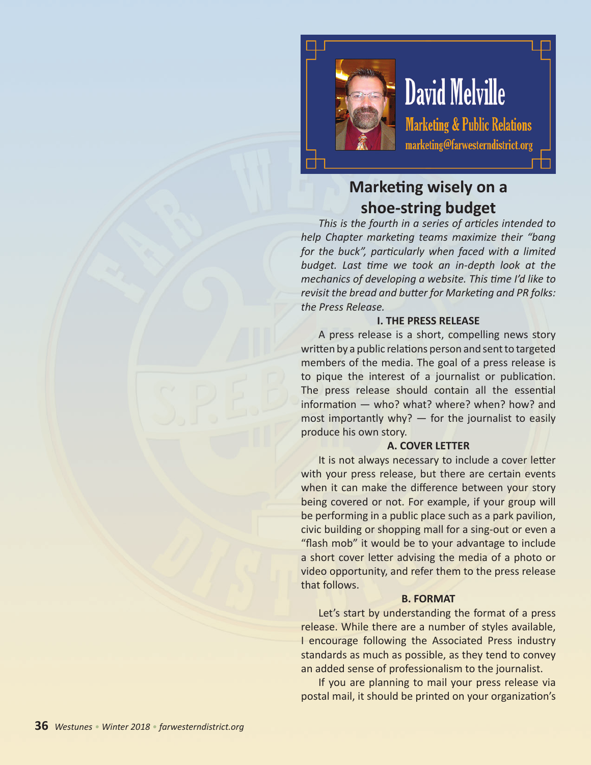

# **David Melville**

**Marketing & Public Relations** marketing@farwesterndistrict.org

# **Marketing wisely on a shoe-string budget**

*This is the fourth in a series of articles intended to help Chapter marketing teams maximize their "bang for the buck", particularly when faced with a limited budget. Last time we took an in-depth look at the mechanics of developing a website. This time I'd like to revisit the bread and butter for Marketing and PR folks: the Press Release.*

# **I. THE PRESS RELEASE**

A press release is a short, compelling news story written by a public relations person and sent to targeted members of the media. The goal of a press release is to pique the interest of a journalist or publication. The press release should contain all the essential information — who? what? where? when? how? and most importantly why? — for the journalist to easily produce his own story.

# **A. COVER LETTER**

It is not always necessary to include a cover letter with your press release, but there are certain events when it can make the difference between your story being covered or not. For example, if your group will be performing in a public place such as a park pavilion, civic building or shopping mall for a sing-out or even a "flash mob" it would be to your advantage to include a short cover letter advising the media of a photo or video opportunity, and refer them to the press release that follows.

# **B. FORMAT**

Let's start by understanding the format of a press release. While there are a number of styles available, I encourage following the Associated Press industry standards as much as possible, as they tend to convey an added sense of professionalism to the journalist.

If you are planning to mail your press release via postal mail, it should be printed on your organization's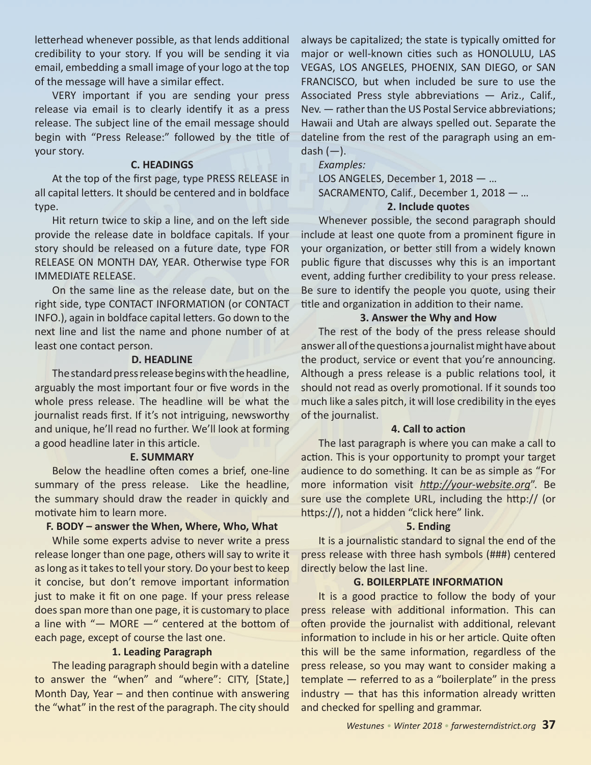letterhead whenever possible, as that lends additional credibility to your story. If you will be sending it via email, embedding a small image of your logo at the top of the message will have a similar effect.

VERY important if you are sending your press release via email is to clearly identify it as a press release. The subject line of the email message should begin with "Press Release:" followed by the title of your story.

#### **C. HEADINGS**

At the top of the first page, type PRESS RELEASE in all capital letters. It should be centered and in boldface type.

Hit return twice to skip a line, and on the left side provide the release date in boldface capitals. If your story should be released on a future date, type FOR RELEASE ON MONTH DAY, YEAR. Otherwise type FOR IMMEDIATE RELEASE.

On the same line as the release date, but on the right side, type CONTACT INFORMATION (or CONTACT INFO.), again in boldface capital letters. Go down to the next line and list the name and phone number of at least one contact person.

#### **D. HEADLINE**

The standard press release begins with the headline, arguably the most important four or five words in the whole press release. The headline will be what the journalist reads first. If it's not intriguing, newsworthy and unique, he'll read no further. We'll look at forming a good headline later in this article.

#### **E. SUMMARY**

Below the headline often comes a brief, one-line summary of the press release. Like the headline, the summary should draw the reader in quickly and motivate him to learn more.

# **F. BODY – answer the When, Where, Who, What**

While some experts advise to never write a press release longer than one page, others will say to write it as long as it takes to tell your story. Do your best to keep it concise, but don't remove important information just to make it fit on one page. If your press release does span more than one page, it is customary to place a line with "— MORE —" centered at the bottom of each page, except of course the last one.

# **1. Leading Paragraph**

The leading paragraph should begin with a dateline to answer the "when" and "where": CITY, [State,] Month Day, Year – and then continue with answering the "what" in the rest of the paragraph. The city should always be capitalized; the state is typically omitted for major or well-known cities such as HONOLULU, LAS VEGAS, LOS ANGELES, PHOENIX, SAN DIEGO, or SAN FRANCISCO, but when included be sure to use the Associated Press style abbreviations — Ariz., Calif., Nev. — rather than the US Postal Service abbreviations; Hawaii and Utah are always spelled out. Separate the dateline from the rest of the paragraph using an emdash  $(-)$ .

*Examples:*

LOS ANGELES, December 1, 2018 — … SACRAMENTO, Calif., December 1, 2018 — …

# **2. Include quotes**

Whenever possible, the second paragraph should include at least one quote from a prominent figure in your organization, or better still from a widely known public figure that discusses why this is an important event, adding further credibility to your press release. Be sure to identify the people you quote, using their title and organization in addition to their name.

# **3. Answer the Why and How**

The rest of the body of the press release should answer all of the questions a journalist might have about the product, service or event that you're announcing. Although a press release is a public relations tool, it should not read as overly promotional. If it sounds too much like a sales pitch, it will lose credibility in the eyes of the journalist.

# **4. Call to action**

The last paragraph is where you can make a call to action. This is your opportunity to prompt your target audience to do something. It can be as simple as "For more information visit *<http://your-website.org>*". Be sure use the complete URL, including the http:// (or https://), not a hidden "click here" link.

# **5. Ending**

It is a journalistic standard to signal the end of the press release with three hash symbols (###) centered directly below the last line.

# **G. BOILERPLATE INFORMATION**

It is a good practice to follow the body of your press release with additional information. This can often provide the journalist with additional, relevant information to include in his or her article. Quite often this will be the same information, regardless of the press release, so you may want to consider making a template — referred to as a "boilerplate" in the press industry — that has this information already written and checked for spelling and grammar.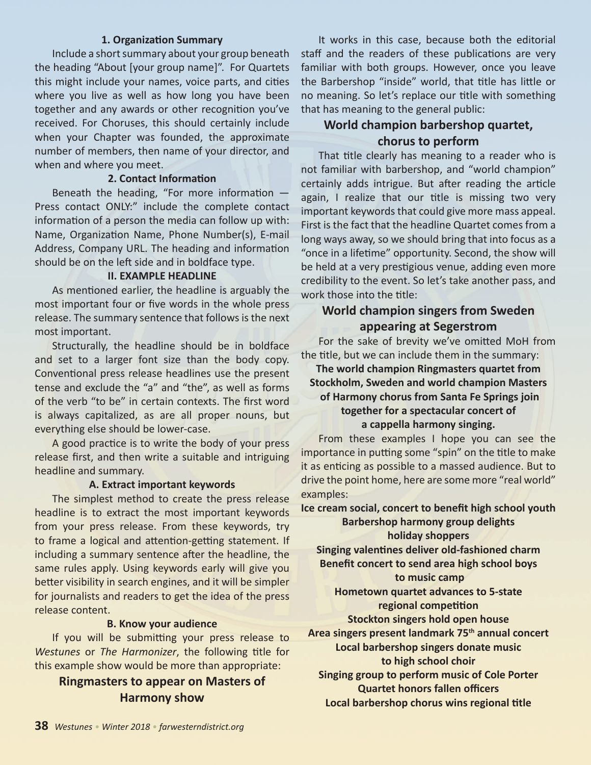#### **1. Organization Summary**

Include a short summary about your group beneath the heading "About [your group name]". For Quartets this might include your names, voice parts, and cities where you live as well as how long you have been together and any awards or other recognition you've received. For Choruses, this should certainly include when your Chapter was founded, the approximate number of members, then name of your director, and when and where you meet.

#### **2. Contact Information**

Beneath the heading, "For more information — Press contact ONLY:" include the complete contact information of a person the media can follow up with: Name, Organization Name, Phone Number(s), E-mail Address, Company URL. The heading and information should be on the left side and in boldface type.

#### **II. EXAMPLE HEADLINE**

As mentioned earlier, the headline is arguably the most important four or five words in the whole press release. The summary sentence that follows is the next most important.

Structurally, the headline should be in boldface and set to a larger font size than the body copy. Conventional press release headlines use the present tense and exclude the "a" and "the", as well as forms of the verb "to be" in certain contexts. The first word is always capitalized, as are all proper nouns, but everything else should be lower-case.

A good practice is to write the body of your press release first, and then write a suitable and intriguing headline and summary.

#### **A. Extract important keywords**

The simplest method to create the press release headline is to extract the most important keywords from your press release. From these keywords, try to frame a logical and attention-getting statement. If including a summary sentence after the headline, the same rules apply. Using keywords early will give you better visibility in search engines, and it will be simpler for journalists and readers to get the idea of the press release content.

#### **B. Know your audience**

If you will be submitting your press release to *Westunes* or *The Harmonizer*, the following title for this example show would be more than appropriate:

# **Ringmasters to appear on Masters of Harmony show**

It works in this case, because both the editorial staff and the readers of these publications are very familiar with both groups. However, once you leave the Barbershop "inside" world, that title has little or no meaning. So let's replace our title with something that has meaning to the general public:

# **World champion barbershop quartet, chorus to perform**

That title clearly has meaning to a reader who is not familiar with barbershop, and "world champion" certainly adds intrigue. But after reading the article again, I realize that our title is missing two very important keywords that could give more mass appeal. First is the fact that the headline Quartet comes from a long ways away, so we should bring that into focus as a "once in a lifetime" opportunity. Second, the show will be held at a very prestigious venue, adding even more credibility to the event. So let's take another pass, and work those into the title:

# **World champion singers from Sweden appearing at Segerstrom**

For the sake of brevity we've omitted MoH from the title, but we can include them in the summary:

# **The world champion Ringmasters quartet from Stockholm, Sweden and world champion Masters of Harmony chorus from Santa Fe Springs join together for a spectacular concert of a cappella harmony singing.**

From these examples I hope you can see the importance in putting some "spin" on the title to make it as enticing as possible to a massed audience. But to drive the point home, here are some more "real world" examples:

**Ice cream social, concert to benefit high school youth Barbershop harmony group delights holiday shoppers**

**Singing valentines deliver old-fashioned charm Benefit concert to send area high school boys to music camp**

# **Hometown quartet advances to 5-state regional competition**

**Stockton singers hold open house Area singers present landmark 75th annual concert Local barbershop singers donate music to high school choir**

**Singing group to perform music of Cole Porter Quartet honors fallen officers Local barbershop chorus wins regional title**